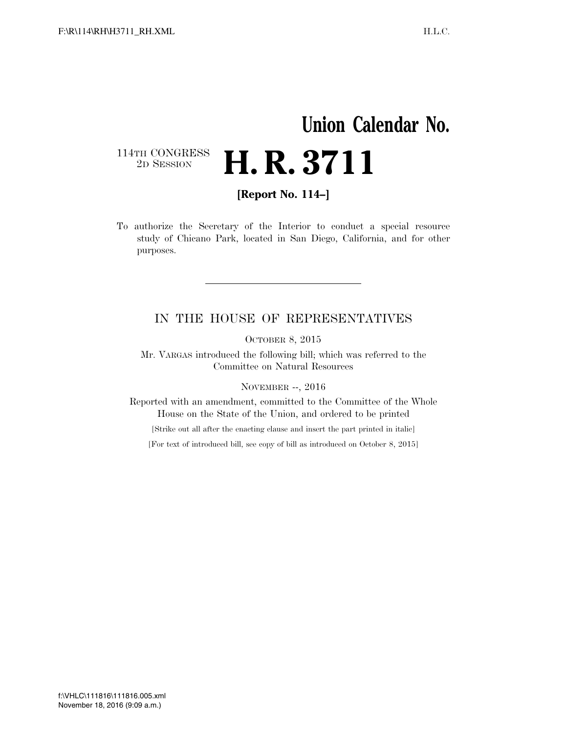## **Union Calendar No.**  114TH CONGRESS<br>2D SESSION 2D SESSION **H. R. 3711**

**[Report No. 114–]** 

To authorize the Secretary of the Interior to conduct a special resource study of Chicano Park, located in San Diego, California, and for other purposes.

## IN THE HOUSE OF REPRESENTATIVES

OCTOBER 8, 2015

Mr. VARGAS introduced the following bill; which was referred to the Committee on Natural Resources

NOVEMBER --, 2016

Reported with an amendment, committed to the Committee of the Whole House on the State of the Union, and ordered to be printed

[Strike out all after the enacting clause and insert the part printed in italic]

[For text of introduced bill, see copy of bill as introduced on October 8, 2015]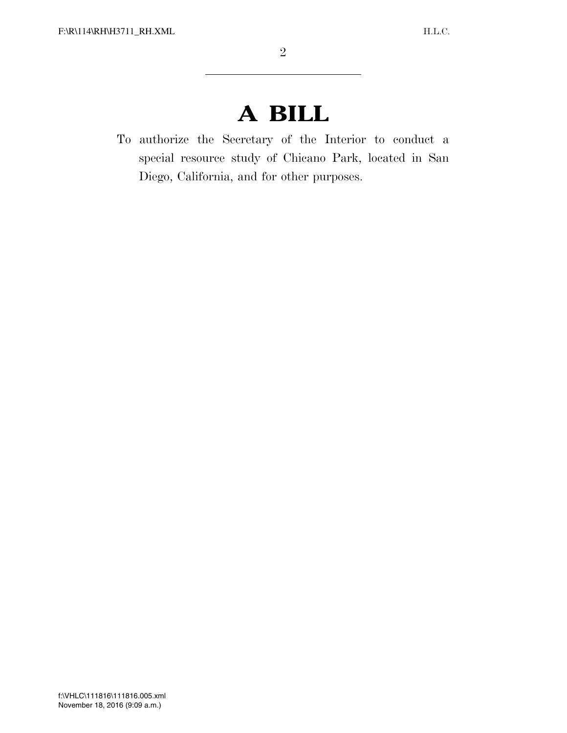## **A BILL**

To authorize the Secretary of the Interior to conduct a special resource study of Chicano Park, located in San Diego, California, and for other purposes.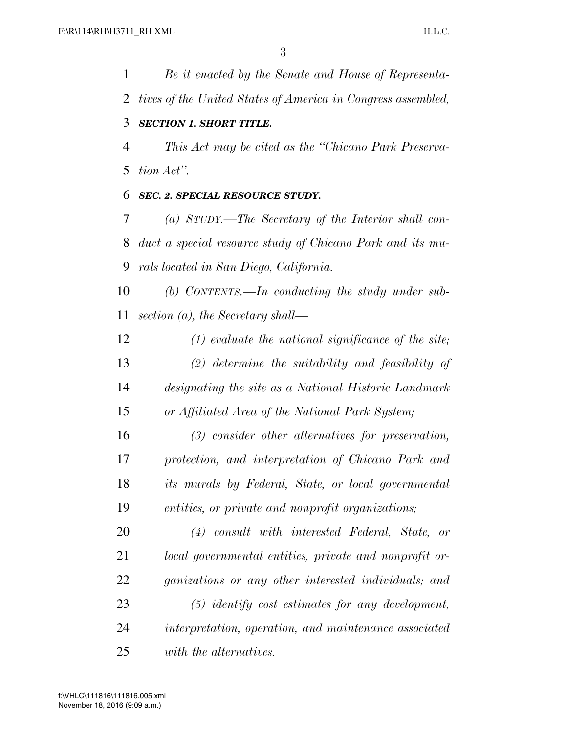*Be it enacted by the Senate and House of Representa-*

 *tives of the United States of America in Congress assembled, SECTION 1. SHORT TITLE. This Act may be cited as the ''Chicano Park Preserva- tion Act''. SEC. 2. SPECIAL RESOURCE STUDY. (a) STUDY.—The Secretary of the Interior shall con- duct a special resource study of Chicano Park and its mu- rals located in San Diego, California. (b) CONTENTS.—In conducting the study under sub- section (a), the Secretary shall— (1) evaluate the national significance of the site; (2) determine the suitability and feasibility of designating the site as a National Historic Landmark or Affiliated Area of the National Park System; (3) consider other alternatives for preservation, protection, and interpretation of Chicano Park and its murals by Federal, State, or local governmental entities, or private and nonprofit organizations; (4) consult with interested Federal, State, or local governmental entities, private and nonprofit or- ganizations or any other interested individuals; and (5) identify cost estimates for any development, interpretation, operation, and maintenance associated with the alternatives.*